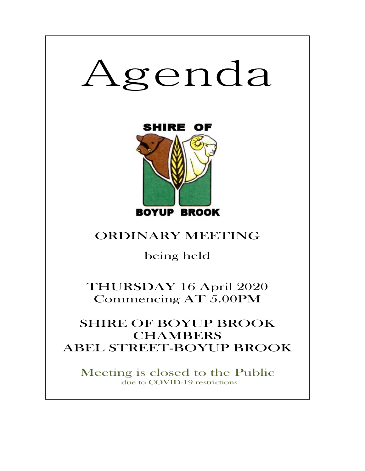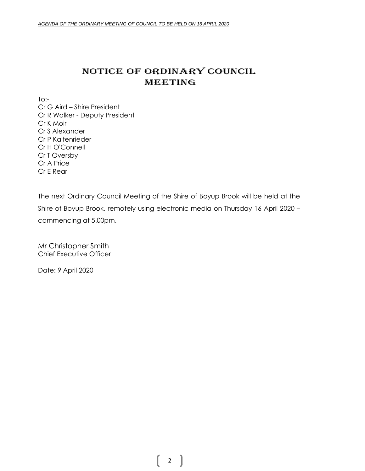# NOTICE OF ORDINARY COUNCIL MEETING

 $To:$ 

Cr G Aird – Shire President Cr R Walker - Deputy President Cr K Moir Cr S Alexander Cr P Kaltenrieder Cr H O'Connell Cr T Oversby Cr A Price Cr E Rear

The next Ordinary Council Meeting of the Shire of Boyup Brook will be held at the Shire of Boyup Brook, remotely using electronic media on Thursday 16 April 2020 – commencing at 5.00pm.

Mr Christopher Smith Chief Executive Officer

Date: 9 April 2020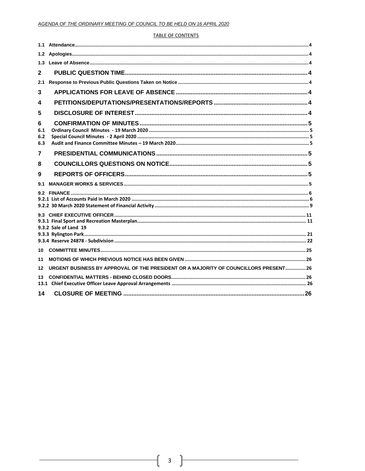### **TABLE OF CONTENTS**

| 1.3                    |                                                                                      |  |
|------------------------|--------------------------------------------------------------------------------------|--|
| 2                      |                                                                                      |  |
| 2.1                    |                                                                                      |  |
| 3                      |                                                                                      |  |
| 4                      |                                                                                      |  |
| 5                      |                                                                                      |  |
| 6<br>6.1<br>6.2<br>6.3 |                                                                                      |  |
| 7                      |                                                                                      |  |
| 8                      |                                                                                      |  |
| 9                      |                                                                                      |  |
| 9.1                    |                                                                                      |  |
|                        |                                                                                      |  |
|                        | 9.3.2 Sale of Land 19                                                                |  |
|                        |                                                                                      |  |
| 10                     |                                                                                      |  |
| 11                     |                                                                                      |  |
| 12                     | URGENT BUSINESS BY APPROVAL OF THE PRESIDENT OR A MAJORITY OF COUNCILLORS PRESENT 26 |  |
| 13.                    |                                                                                      |  |
| 14                     |                                                                                      |  |

ſ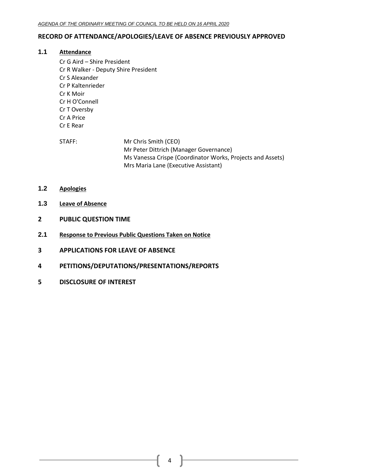# <span id="page-3-0"></span>**RECORD OF ATTENDANCE/APOLOGIES/LEAVE OF ABSENCE PREVIOUSLY APPROVED**

# **1.1 Attendance**

- Cr G Aird Shire President Cr R Walker - Deputy Shire President Cr S Alexander Cr P Kaltenrieder Cr K Moir Cr H O'Connell Cr T Oversby Cr A Price Cr E Rear
- STAFF: Mr Chris Smith (CEO) Mr Peter Dittrich (Manager Governance) Ms Vanessa Crispe (Coordinator Works, Projects and Assets) Mrs Maria Lane (Executive Assistant)
- <span id="page-3-1"></span>**1.2 Apologies**
- <span id="page-3-2"></span>**1.3 Leave of Absence**
- <span id="page-3-3"></span>**2 PUBLIC QUESTION TIME**
- <span id="page-3-4"></span>**2.1 Response to Previous Public Questions Taken on Notice**
- <span id="page-3-5"></span>**3 APPLICATIONS FOR LEAVE OF ABSENCE**
- <span id="page-3-6"></span>**4 PETITIONS/DEPUTATIONS/PRESENTATIONS/REPORTS**
- <span id="page-3-7"></span>**5 DISCLOSURE OF INTEREST**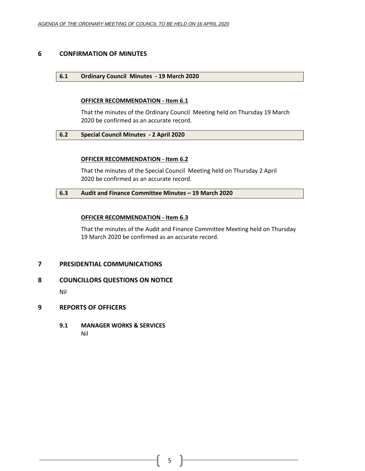# <span id="page-4-1"></span><span id="page-4-0"></span>**6 CONFIRMATION OF MINUTES**

# **6.1 Ordinary Council Minutes - 19 March 2020**

# **OFFICER RECOMMENDATION - Item 6.1**

That the minutes of the Ordinary Council Meeting held on Thursday 19 March 2020 be confirmed as an accurate record.

# <span id="page-4-2"></span>**6.2 Special Council Minutes - 2 April 2020**

# **OFFICER RECOMMENDATION - Item 6.2**

That the minutes of the Special Council Meeting held on Thursday 2 April 2020 be confirmed as an accurate record.

# <span id="page-4-3"></span>**6.3 Audit and Finance Committee Minutes – 19 March 2020**

# **OFFICER RECOMMENDATION - Item 6.3**

That the minutes of the Audit and Finance Committee Meeting held on Thursday 19 March 2020 be confirmed as an accurate record.

# <span id="page-4-4"></span>**7 PRESIDENTIAL COMMUNICATIONS**

# <span id="page-4-5"></span>**8 COUNCILLORS QUESTIONS ON NOTICE**

Nil

# <span id="page-4-6"></span>**9 REPORTS OF OFFICERS**

<span id="page-4-7"></span>**9.1 MANAGER WORKS & SERVICES** Nil

5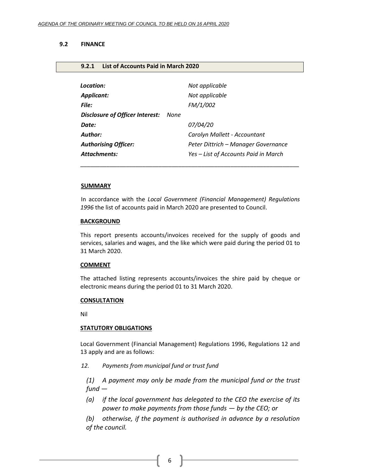<span id="page-5-1"></span>**9.2.1 List of Accounts Paid in March 2020**

# <span id="page-5-0"></span>**9.2 FINANCE**

| Location:                       |      | Not applicable                       |
|---------------------------------|------|--------------------------------------|
| Applicant:                      |      | Not applicable                       |
| File:                           |      | FM/1/002                             |
| Disclosure of Officer Interest: | None |                                      |
| Date:                           |      | <i>07/04/20</i>                      |
| Author:                         |      | Carolyn Mallett - Accountant         |
| <b>Authorising Officer:</b>     |      | Peter Dittrich - Manager Governance  |
| <b>Attachments:</b>             |      | Yes – List of Accounts Paid in March |
|                                 |      |                                      |

#### **SUMMARY**

In accordance with the *Local Government (Financial Management) Regulations 1996* the list of accounts paid in March 2020 are presented to Council.

\_\_\_\_\_\_\_\_\_\_\_\_\_\_\_\_\_\_\_\_\_\_\_\_\_\_\_\_\_\_\_\_\_\_\_\_\_\_\_\_\_\_\_\_\_\_\_\_\_\_\_\_\_\_\_\_\_\_\_\_\_\_\_\_\_\_\_

#### **BACKGROUND**

This report presents accounts/invoices received for the supply of goods and services, salaries and wages, and the like which were paid during the period 01 to 31 March 2020.

#### **COMMENT**

The attached listing represents accounts/invoices the shire paid by cheque or electronic means during the period 01 to 31 March 2020.

#### **CONSULTATION**

Nil

#### **STATUTORY OBLIGATIONS**

Local Government (Financial Management) Regulations 1996, Regulations 12 and 13 apply and are as follows:

*12. Payments from municipal fund or trust fund*

*(1) A payment may only be made from the municipal fund or the trust fund —*

*(a) if the local government has delegated to the CEO the exercise of its power to make payments from those funds — by the CEO; or*

*(b) otherwise, if the payment is authorised in advance by a resolution of the council.*

6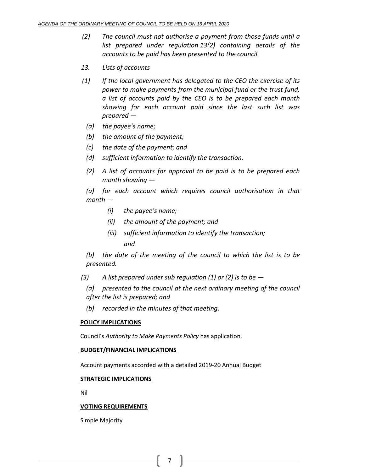- *(2) The council must not authorise a payment from those funds until a list prepared under regulation 13(2) containing details of the accounts to be paid has been presented to the council.*
- *13. Lists of accounts*
- *(1) If the local government has delegated to the CEO the exercise of its power to make payments from the municipal fund or the trust fund, a list of accounts paid by the CEO is to be prepared each month showing for each account paid since the last such list was prepared —*
	- *(a) the payee's name;*
	- *(b) the amount of the payment;*
	- *(c) the date of the payment; and*
	- *(d) sufficient information to identify the transaction.*
	- *(2) A list of accounts for approval to be paid is to be prepared each month showing —*

*(a) for each account which requires council authorisation in that month —*

- *(i) the payee's name;*
- *(ii) the amount of the payment; and*
- *(iii) sufficient information to identify the transaction; and*

*(b) the date of the meeting of the council to which the list is to be presented.*

- *(3) A list prepared under sub regulation (1) or (2) is to be —*
	- *(a) presented to the council at the next ordinary meeting of the council after the list is prepared; and*
	- *(b) recorded in the minutes of that meeting.*

# **POLICY IMPLICATIONS**

Council's *Authority to Make Payments Policy* has application.

### **BUDGET/FINANCIAL IMPLICATIONS**

Account payments accorded with a detailed 2019-20 Annual Budget

# **STRATEGIC IMPLICATIONS**

Nil

### **VOTING REQUIREMENTS**

Simple Majority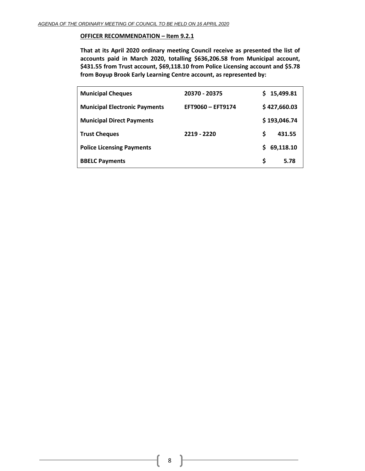# **OFFICER RECOMMENDATION – Item 9.2.1**

**That at its April 2020 ordinary meeting Council receive as presented the list of accounts paid in March 2020, totalling \$636,206.58 from Municipal account, \$431.55 from Trust account, \$69,118.10 from Police Licensing account and \$5.78 from Boyup Brook Early Learning Centre account, as represented by:**

| <b>Municipal Cheques</b>             | 20370 - 20375     |   | 15,499.81    |
|--------------------------------------|-------------------|---|--------------|
| <b>Municipal Electronic Payments</b> | EFT9060 - EFT9174 |   | \$427,660.03 |
| <b>Municipal Direct Payments</b>     |                   |   | \$193,046.74 |
| <b>Trust Cheques</b>                 | 2219 - 2220       | S | 431.55       |
| <b>Police Licensing Payments</b>     |                   |   | 69,118.10    |
| <b>BBELC Payments</b>                |                   | S | 5.78         |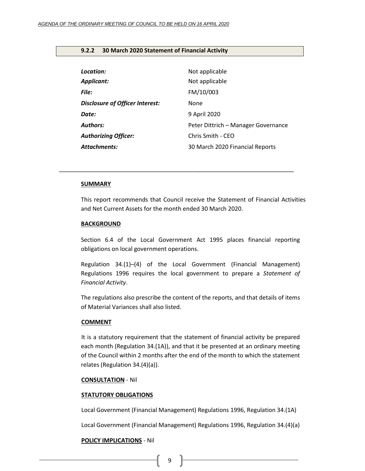### <span id="page-8-0"></span>**9.2.2 30 March 2020 Statement of Financial Activity**

| Location:<br><b>Applicant:</b>         | Not applicable<br>Not applicable    |
|----------------------------------------|-------------------------------------|
| <b>File:</b>                           | FM/10/003                           |
| <b>Disclosure of Officer Interest:</b> | <b>None</b>                         |
| Date:                                  | 9 April 2020                        |
| <b>Authors:</b>                        | Peter Dittrich – Manager Governance |
| <b>Authorizing Officer:</b>            | Chris Smith - CEO                   |
| <b>Attachments:</b>                    | 30 March 2020 Financial Reports     |

*\_\_\_\_\_\_\_\_\_\_\_\_\_\_\_\_\_\_\_\_\_\_\_\_\_\_\_\_\_\_\_\_\_\_\_\_\_\_\_\_\_\_\_\_\_\_\_\_\_\_\_\_\_\_\_\_\_\_\_\_\_\_\_\_\_\_\_\_\_\_\_\_*

### **SUMMARY**

This report recommends that Council receive the Statement of Financial Activities and Net Current Assets for the month ended 30 March 2020.

#### **BACKGROUND**

Section 6.4 of the Local Government Act 1995 places financial reporting obligations on local government operations.

Regulation 34.(1)–(4) of the Local Government (Financial Management) Regulations 1996 requires the local government to prepare a *Statement of Financial Activity*.

The regulations also prescribe the content of the reports, and that details of items of Material Variances shall also listed.

#### **COMMENT**

It is a statutory requirement that the statement of financial activity be prepared each month (Regulation 34.(1A)), and that it be presented at an ordinary meeting of the Council within 2 months after the end of the month to which the statement relates (Regulation 34.(4)(a)).

#### **CONSULTATION** - Nil

#### **STATUTORY OBLIGATIONS**

Local Government (Financial Management) Regulations 1996, Regulation 34.(1A)

Local Government (Financial Management) Regulations 1996, Regulation 34.(4)(a)

#### **POLICY IMPLICATIONS** - Nil

{ 9 }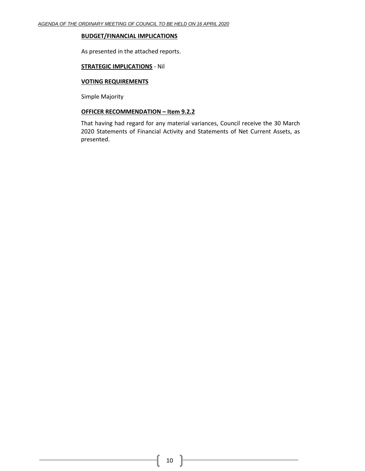### **BUDGET/FINANCIAL IMPLICATIONS**

As presented in the attached reports.

# **STRATEGIC IMPLICATIONS** - Nil

# **VOTING REQUIREMENTS**

Simple Majority

# **OFFICER RECOMMENDATION – Item 9.2.2**

That having had regard for any material variances, Council receive the 30 March 2020 Statements of Financial Activity and Statements of Net Current Assets, as presented.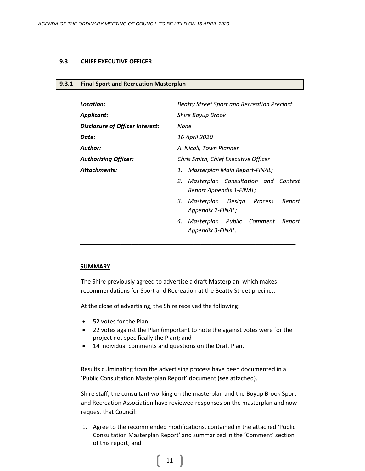### <span id="page-10-0"></span>**9.3 CHIEF EXECUTIVE OFFICER**

#### <span id="page-10-1"></span>**9.3.1 Final Sport and Recreation Masterplan**

| Location:                       | Beatty Street Sport and Recreation Precinct.                          |  |
|---------------------------------|-----------------------------------------------------------------------|--|
| <b>Applicant:</b>               | Shire Boyup Brook                                                     |  |
| Disclosure of Officer Interest: | None                                                                  |  |
| Date:                           | 16 April 2020                                                         |  |
| <b>Author:</b>                  | A. Nicoll, Town Planner                                               |  |
| <b>Authorizing Officer:</b>     | Chris Smith, Chief Executive Officer                                  |  |
| <b>Attachments:</b>             | Masterplan Main Report-FINAL;<br>1.                                   |  |
|                                 | Masterplan Consultation and Context<br>2.<br>Report Appendix 1-FINAL; |  |
|                                 | Masterplan Design Process<br>3.<br>Report<br>Appendix 2-FINAL;        |  |
|                                 | Masterplan Public Comment<br>4.<br>Report<br>Appendix 3-FINAL.        |  |

#### **SUMMARY**

The Shire previously agreed to advertise a draft Masterplan, which makes recommendations for Sport and Recreation at the Beatty Street precinct.

At the close of advertising, the Shire received the following:

- 52 votes for the Plan;
- 22 votes against the Plan (important to note the against votes were for the project not specifically the Plan); and
- 14 individual comments and questions on the Draft Plan.

Results culminating from the advertising process have been documented in a 'Public Consultation Masterplan Report' document (see attached).

Shire staff, the consultant working on the masterplan and the Boyup Brook Sport and Recreation Association have reviewed responses on the masterplan and now request that Council:

1. Agree to the recommended modifications, contained in the attached 'Public Consultation Masterplan Report' and summarized in the 'Comment' section of this report; and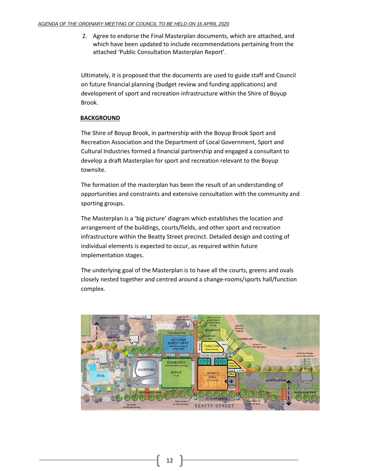2. Agree to endorse the Final Masterplan documents, which are attached, and which have been updated to include recommendations pertaining from the attached 'Public Consultation Masterplan Report'.

Ultimately, it is proposed that the documents are used to guide staff and Council on future financial planning (budget review and funding applications) and development of sport and recreation infrastructure within the Shire of Boyup Brook.

# **BACKGROUND**

The Shire of Boyup Brook, in partnership with the Boyup Brook Sport and Recreation Association and the Department of Local Government, Sport and Cultural Industries formed a financial partnership and engaged a consultant to develop a draft Masterplan for sport and recreation relevant to the Boyup townsite.

The formation of the masterplan has been the result of an understanding of opportunities and constraints and extensive consultation with the community and sporting groups.

The Masterplan is a 'big picture' diagram which establishes the location and arrangement of the buildings, courts/fields, and other sport and recreation infrastructure within the Beatty Street precinct. Detailed design and costing of individual elements is expected to occur, as required within future implementation stages.

The underlying goal of the Masterplan is to have all the courts, greens and ovals closely nested together and centred around a change-rooms/sports hall/function complex.

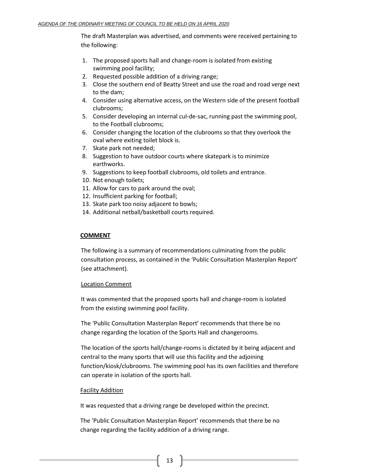The draft Masterplan was advertised, and comments were received pertaining to the following:

- 1. The proposed sports hall and change-room is isolated from existing swimming pool facility;
- 2. Requested possible addition of a driving range;
- 3. Close the southern end of Beatty Street and use the road and road verge next to the dam;
- 4. Consider using alternative access, on the Western side of the present football clubrooms;
- 5. Consider developing an internal cul-de-sac, running past the swimming pool, to the Football clubrooms;
- 6. Consider changing the location of the clubrooms so that they overlook the oval where exiting toilet block is.
- 7. Skate park not needed;
- 8. Suggestion to have outdoor courts where skatepark is to minimize earthworks.
- 9. Suggestions to keep football clubrooms, old toilets and entrance.
- 10. Not enough toilets;
- 11. Allow for cars to park around the oval;
- 12. Insufficient parking for football;
- 13. Skate park too noisy adjacent to bowls;
- 14. Additional netball/basketball courts required.

# **COMMENT**

The following is a summary of recommendations culminating from the public consultation process, as contained in the 'Public Consultation Masterplan Report' (see attachment).

### Location Comment

It was commented that the proposed sports hall and change-room is isolated from the existing swimming pool facility.

The 'Public Consultation Masterplan Report' recommends that there be no change regarding the location of the Sports Hall and changerooms.

The location of the sports hall/change-rooms is dictated by it being adjacent and central to the many sports that will use this facility and the adjoining function/kiosk/clubrooms. The swimming pool has its own facilities and therefore can operate in isolation of the sports hall.

### Facility Addition

It was requested that a driving range be developed within the precinct.

The 'Public Consultation Masterplan Report' recommends that there be no change regarding the facility addition of a driving range.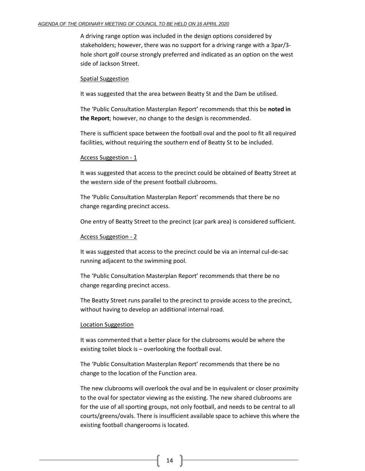#### *AGENDA OF THE ORDINARY MEETING OF COUNCIL TO BE HELD ON 16 APRIL 2020*

A driving range option was included in the design options considered by stakeholders; however, there was no support for a driving range with a 3par/3 hole short golf course strongly preferred and indicated as an option on the west side of Jackson Street.

#### Spatial Suggestion

It was suggested that the area between Beatty St and the Dam be utilised.

The 'Public Consultation Masterplan Report' recommends that this be **noted in the Report**; however, no change to the design is recommended.

There is sufficient space between the football oval and the pool to fit all required facilities, without requiring the southern end of Beatty St to be included.

#### Access Suggestion - 1

It was suggested that access to the precinct could be obtained of Beatty Street at the western side of the present football clubrooms.

The 'Public Consultation Masterplan Report' recommends that there be no change regarding precinct access.

One entry of Beatty Street to the precinct (car park area) is considered sufficient.

### Access Suggestion - 2

It was suggested that access to the precinct could be via an internal cul-de-sac running adjacent to the swimming pool.

The 'Public Consultation Masterplan Report' recommends that there be no change regarding precinct access.

The Beatty Street runs parallel to the precinct to provide access to the precinct, without having to develop an additional internal road.

### Location Suggestion

It was commented that a better place for the clubrooms would be where the existing toilet block is – overlooking the football oval.

The 'Public Consultation Masterplan Report' recommends that there be no change to the location of the Function area.

The new clubrooms will overlook the oval and be in equivalent or closer proximity to the oval for spectator viewing as the existing. The new shared clubrooms are for the use of all sporting groups, not only football, and needs to be central to all courts/greens/ovals. There is insufficient available space to achieve this where the existing football changerooms is located.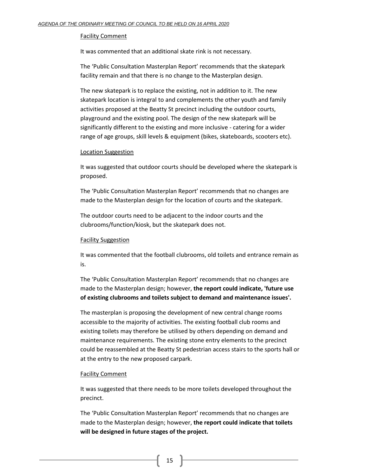#### Facility Comment

It was commented that an additional skate rink is not necessary.

The 'Public Consultation Masterplan Report' recommends that the skatepark facility remain and that there is no change to the Masterplan design.

The new skatepark is to replace the existing, not in addition to it. The new skatepark location is integral to and complements the other youth and family activities proposed at the Beatty St precinct including the outdoor courts, playground and the existing pool. The design of the new skatepark will be significantly different to the existing and more inclusive - catering for a wider range of age groups, skill levels & equipment (bikes, skateboards, scooters etc).

#### Location Suggestion

It was suggested that outdoor courts should be developed where the skatepark is proposed.

The 'Public Consultation Masterplan Report' recommends that no changes are made to the Masterplan design for the location of courts and the skatepark.

The outdoor courts need to be adjacent to the indoor courts and the clubrooms/function/kiosk, but the skatepark does not.

### Facility Suggestion

It was commented that the football clubrooms, old toilets and entrance remain as is.

The 'Public Consultation Masterplan Report' recommends that no changes are made to the Masterplan design; however, **the report could indicate, 'future use of existing clubrooms and toilets subject to demand and maintenance issues'.**

The masterplan is proposing the development of new central change rooms accessible to the majority of activities. The existing football club rooms and existing toilets may therefore be utilised by others depending on demand and maintenance requirements. The existing stone entry elements to the precinct could be reassembled at the Beatty St pedestrian access stairs to the sports hall or at the entry to the new proposed carpark.

#### Facility Comment

It was suggested that there needs to be more toilets developed throughout the precinct.

The 'Public Consultation Masterplan Report' recommends that no changes are made to the Masterplan design; however, **the report could indicate that toilets will be designed in future stages of the project.**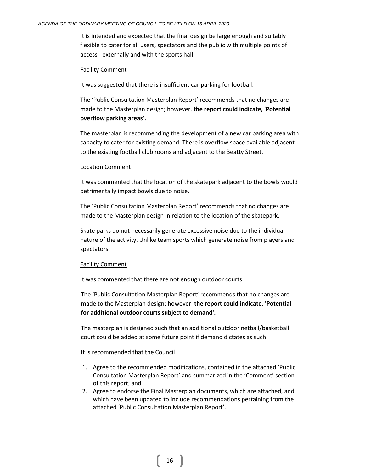It is intended and expected that the final design be large enough and suitably flexible to cater for all users, spectators and the public with multiple points of access - externally and with the sports hall.

# Facility Comment

It was suggested that there is insufficient car parking for football.

The 'Public Consultation Masterplan Report' recommends that no changes are made to the Masterplan design; however, **the report could indicate, 'Potential overflow parking areas'.**

The masterplan is recommending the development of a new car parking area with capacity to cater for existing demand. There is overflow space available adjacent to the existing football club rooms and adjacent to the Beatty Street.

### Location Comment

It was commented that the location of the skatepark adjacent to the bowls would detrimentally impact bowls due to noise.

The 'Public Consultation Masterplan Report' recommends that no changes are made to the Masterplan design in relation to the location of the skatepark.

Skate parks do not necessarily generate excessive noise due to the individual nature of the activity. Unlike team sports which generate noise from players and spectators.

# Facility Comment

It was commented that there are not enough outdoor courts.

The 'Public Consultation Masterplan Report' recommends that no changes are made to the Masterplan design; however, **the report could indicate, 'Potential for additional outdoor courts subject to demand'.**

The masterplan is designed such that an additional outdoor netball/basketball court could be added at some future point if demand dictates as such.

It is recommended that the Council

- 1. Agree to the recommended modifications, contained in the attached 'Public Consultation Masterplan Report' and summarized in the 'Comment' section of this report; and
- 2. Agree to endorse the Final Masterplan documents, which are attached, and which have been updated to include recommendations pertaining from the attached 'Public Consultation Masterplan Report'.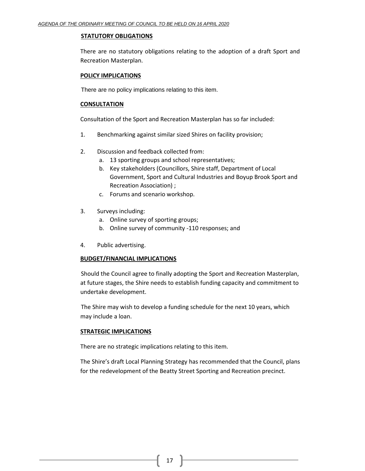### **STATUTORY OBLIGATIONS**

There are no statutory obligations relating to the adoption of a draft Sport and Recreation Masterplan.

# **POLICY IMPLICATIONS**

There are no policy implications relating to this item.

# **CONSULTATION**

Consultation of the Sport and Recreation Masterplan has so far included:

- 1. Benchmarking against similar sized Shires on facility provision;
- 2. Discussion and feedback collected from:
	- a. 13 sporting groups and school representatives;
	- b. Key stakeholders (Councillors, Shire staff, Department of Local Government, Sport and Cultural Industries and Boyup Brook Sport and Recreation Association) ;
	- c. Forums and scenario workshop.
- 3. Surveys including:
	- a. Online survey of sporting groups;
	- b. Online survey of community -110 responses; and
- 4. Public advertising.

# **BUDGET/FINANCIAL IMPLICATIONS**

Should the Council agree to finally adopting the Sport and Recreation Masterplan, at future stages, the Shire needs to establish funding capacity and commitment to undertake development.

The Shire may wish to develop a funding schedule for the next 10 years, which may include a loan.

# **STRATEGIC IMPLICATIONS**

There are no strategic implications relating to this item.

The Shire's draft Local Planning Strategy has recommended that the Council, plans for the redevelopment of the Beatty Street Sporting and Recreation precinct.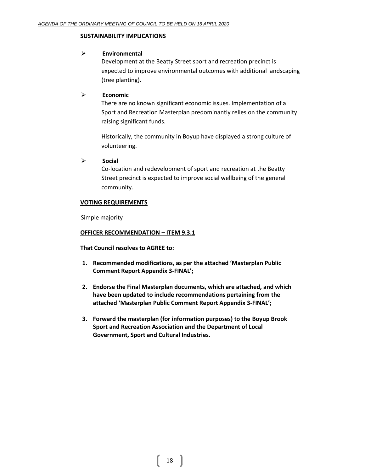# **SUSTAINABILITY IMPLICATIONS**

# ➢ **Environmental**

Development at the Beatty Street sport and recreation precinct is expected to improve environmental outcomes with additional landscaping (tree planting).

# ➢ **Economic**

There are no known significant economic issues. Implementation of a Sport and Recreation Masterplan predominantly relies on the community raising significant funds.

Historically, the community in Boyup have displayed a strong culture of volunteering.

➢ **Socia**l

Co-location and redevelopment of sport and recreation at the Beatty Street precinct is expected to improve social wellbeing of the general community.

# **VOTING REQUIREMENTS**

Simple majority

# **OFFICER RECOMMENDATION – ITEM 9.3.1**

**That Council resolves to AGREE to:**

- **1. Recommended modifications, as per the attached 'Masterplan Public Comment Report Appendix 3-FINAL';**
- **2. Endorse the Final Masterplan documents, which are attached, and which have been updated to include recommendations pertaining from the attached 'Masterplan Public Comment Report Appendix 3-FINAL';**
- **3. Forward the masterplan (for information purposes) to the Boyup Brook Sport and Recreation Association and the Department of Local Government, Sport and Cultural Industries.**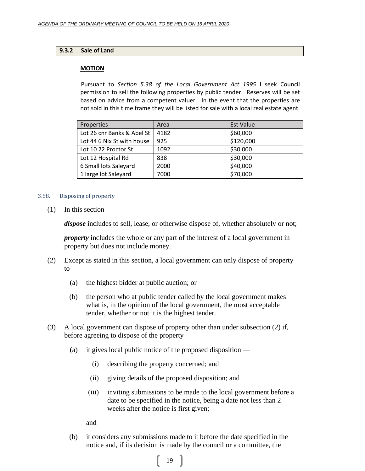# <span id="page-18-0"></span>**9.3.2 Sale of Land**

# **MOTION**

Pursuant to *Section 5.38 of the Local Government Act 1995* I seek Council permission to sell the following properties by public tender. Reserves will be set based on advice from a competent valuer. In the event that the properties are not sold in this time frame they will be listed for sale with a local real estate agent.

| Properties                 | Area | <b>Est Value</b> |
|----------------------------|------|------------------|
| Lot 26 cnr Banks & Abel St | 4182 | \$60,000         |
| Lot 44 6 Nix St with house | 925  | \$120,000        |
| Lot 10 22 Proctor St       | 1092 | \$30,000         |
| Lot 12 Hospital Rd         | 838  | \$30,000         |
| 6 Small lots Saleyard      | 2000 | \$40,000         |
| 1 large lot Saleyard       | 7000 | \$70,000         |

# 3.58. Disposing of property

 $(1)$  In this section —

*dispose* includes to sell, lease, or otherwise dispose of, whether absolutely or not;

*property* includes the whole or any part of the interest of a local government in property but does not include money.

- (2) Except as stated in this section, a local government can only dispose of property  $to -$ 
	- (a) the highest bidder at public auction; or
	- (b) the person who at public tender called by the local government makes what is, in the opinion of the local government, the most acceptable tender, whether or not it is the highest tender.
- (3) A local government can dispose of property other than under subsection (2) if, before agreeing to dispose of the property —
	- (a) it gives local public notice of the proposed disposition
		- (i) describing the property concerned; and
		- (ii) giving details of the proposed disposition; and
		- (iii) inviting submissions to be made to the local government before a date to be specified in the notice, being a date not less than 2 weeks after the notice is first given;

and

(b) it considers any submissions made to it before the date specified in the notice and, if its decision is made by the council or a committee, the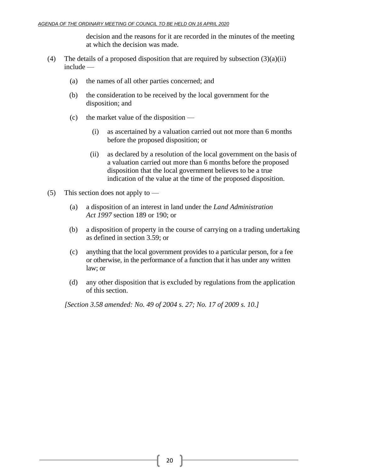decision and the reasons for it are recorded in the minutes of the meeting at which the decision was made.

- (4) The details of a proposed disposition that are required by subsection  $(3)(a)(ii)$ include —
	- (a) the names of all other parties concerned; and
	- (b) the consideration to be received by the local government for the disposition; and
	- (c) the market value of the disposition
		- (i) as ascertained by a valuation carried out not more than 6 months before the proposed disposition; or
		- (ii) as declared by a resolution of the local government on the basis of a valuation carried out more than 6 months before the proposed disposition that the local government believes to be a true indication of the value at the time of the proposed disposition.
- (5) This section does not apply to  $-$ 
	- (a) a disposition of an interest in land under the *Land Administration Act 1997* section 189 or 190; or
	- (b) a disposition of property in the course of carrying on a trading undertaking as defined in section 3.59; or
	- (c) anything that the local government provides to a particular person, for a fee or otherwise, in the performance of a function that it has under any written law; or
	- (d) any other disposition that is excluded by regulations from the application of this section.

*[Section 3.58 amended: No. 49 of 2004 s. 27; No. 17 of 2009 s. 10.]*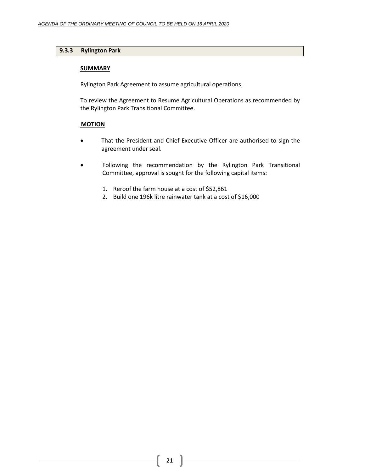# <span id="page-20-0"></span>**9.3.3 Rylington Park**

# **SUMMARY**

Rylington Park Agreement to assume agricultural operations.

To review the Agreement to Resume Agricultural Operations as recommended by the Rylington Park Transitional Committee.

# **MOTION**

- That the President and Chief Executive Officer are authorised to sign the agreement under seal.
- Following the recommendation by the Rylington Park Transitional Committee, approval is sought for the following capital items:
	- 1. Reroof the farm house at a cost of \$52,861
	- 2. Build one 196k litre rainwater tank at a cost of \$16,000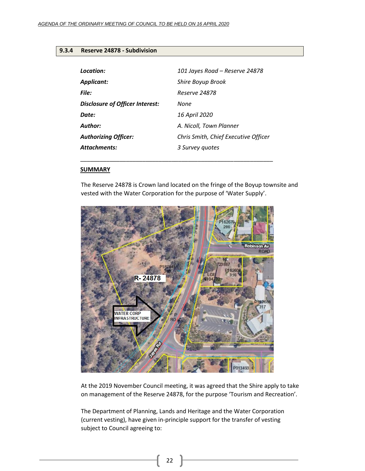# <span id="page-21-0"></span>**9.3.4 Reserve 24878 - Subdivision**

| Location:                       | 101 Jayes Road - Reserve 24878       |
|---------------------------------|--------------------------------------|
| Applicant:                      | Shire Boyup Brook                    |
| File:                           | <i><b>Reserve 24878</b></i>          |
| Disclosure of Officer Interest: | None                                 |
| Date:                           | 16 April 2020                        |
| Author:                         | A. Nicoll, Town Planner              |
| <b>Authorizing Officer:</b>     | Chris Smith, Chief Executive Officer |
| <b>Attachments:</b>             | 3 Survey quotes                      |

\_\_\_\_\_\_\_\_\_\_\_\_\_\_\_\_\_\_\_\_\_\_\_\_\_\_\_\_\_\_\_\_\_\_\_\_\_\_\_\_\_\_\_\_\_\_\_\_\_\_\_\_\_\_\_\_\_\_\_

### **SUMMARY**

The Reserve 24878 is Crown land located on the fringe of the Boyup townsite and vested with the Water Corporation for the purpose of 'Water Supply'.



At the 2019 November Council meeting, it was agreed that the Shire apply to take on management of the Reserve 24878, for the purpose 'Tourism and Recreation'.

The Department of Planning, Lands and Heritage and the Water Corporation (current vesting), have given in-principle support for the transfer of vesting subject to Council agreeing to: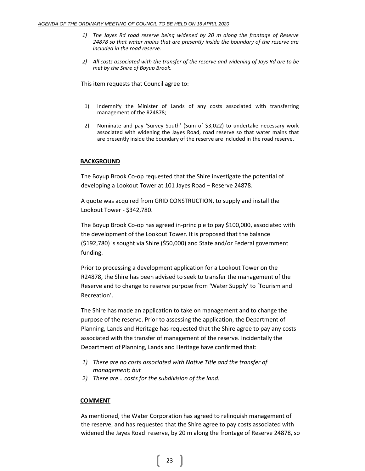- *1) The Jayes Rd road reserve being widened by 20 m along the frontage of Reserve 24878 so that water mains that are presently inside the boundary of the reserve are included in the road reserve.*
- *2) All costs associated with the transfer of the reserve and widening of Jays Rd are to be met by the Shire of Boyup Brook.*

This item requests that Council agree to:

- 1) Indemnify the Minister of Lands of any costs associated with transferring management of the R24878;
- 2) Nominate and pay 'Survey South' (Sum of \$3,022) to undertake necessary work associated with widening the Jayes Road, road reserve so that water mains that are presently inside the boundary of the reserve are included in the road reserve.

### **BACKGROUND**

The Boyup Brook Co-op requested that the Shire investigate the potential of developing a Lookout Tower at 101 Jayes Road – Reserve 24878.

A quote was acquired from GRID CONSTRUCTION, to supply and install the Lookout Tower - \$342,780.

The Boyup Brook Co-op has agreed in-principle to pay \$100,000, associated with the development of the Lookout Tower. It is proposed that the balance (\$192,780) is sought via Shire (\$50,000) and State and/or Federal government funding.

Prior to processing a development application for a Lookout Tower on the R24878, the Shire has been advised to seek to transfer the management of the Reserve and to change to reserve purpose from 'Water Supply' to 'Tourism and Recreation'.

The Shire has made an application to take on management and to change the purpose of the reserve. Prior to assessing the application, the Department of Planning, Lands and Heritage has requested that the Shire agree to pay any costs associated with the transfer of management of the reserve. Incidentally the Department of Planning, Lands and Heritage have confirmed that:

- *1) There are no costs associated with Native Title and the transfer of management; but*
- *2) There are… costs for the subdivision of the land.*

# **COMMENT**

As mentioned, the Water Corporation has agreed to relinquish management of the reserve, and has requested that the Shire agree to pay costs associated with widened the Jayes Road reserve, by 20 m along the frontage of Reserve 24878, so

23  $\parallel$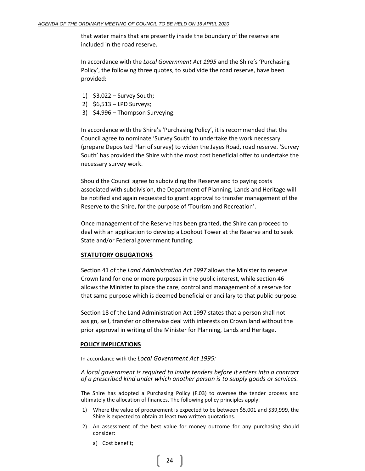that water mains that are presently inside the boundary of the reserve are included in the road reserve.

In accordance with the *Local Government Act 1995* and the Shire's 'Purchasing Policy', the following three quotes, to subdivide the road reserve, have been provided:

- 1) \$3,022 Survey South;
- 2) \$6,513 LPD Surveys;
- 3) \$4,996 Thompson Surveying.

In accordance with the Shire's 'Purchasing Policy', it is recommended that the Council agree to nominate 'Survey South' to undertake the work necessary (prepare Deposited Plan of survey) to widen the Jayes Road, road reserve. 'Survey South' has provided the Shire with the most cost beneficial offer to undertake the necessary survey work.

Should the Council agree to subdividing the Reserve and to paying costs associated with subdivision, the Department of Planning, Lands and Heritage will be notified and again requested to grant approval to transfer management of the Reserve to the Shire, for the purpose of 'Tourism and Recreation'.

Once management of the Reserve has been granted, the Shire can proceed to deal with an application to develop a Lookout Tower at the Reserve and to seek State and/or Federal government funding.

#### **STATUTORY OBLIGATIONS**

Section 41 of the *Land Administration Act 1997* allows the Minister to reserve Crown land for one or more purposes in the public interest, while section 46 allows the Minister to place the care, control and management of a reserve for that same purpose which is deemed beneficial or ancillary to that public purpose.

Section 18 of the Land Administration Act 1997 states that a person shall not assign, sell, transfer or otherwise deal with interests on Crown land without the prior approval in writing of the Minister for Planning, Lands and Heritage.

#### **POLICY IMPLICATIONS**

In accordance with the *Local Government Act 1995:*

*A local government is required to invite tenders before it enters into a contract of a prescribed kind under which another person is to supply goods or services.*

The Shire has adopted a Purchasing Policy (F.03) to oversee the tender process and ultimately the allocation of finances. The following policy principles apply:

- 1) Where the value of procurement is expected to be between \$5,001 and \$39,999, the Shire is expected to obtain at least two written quotations.
- 2) An assessment of the best value for money outcome for any purchasing should consider:
	- a) Cost benefit;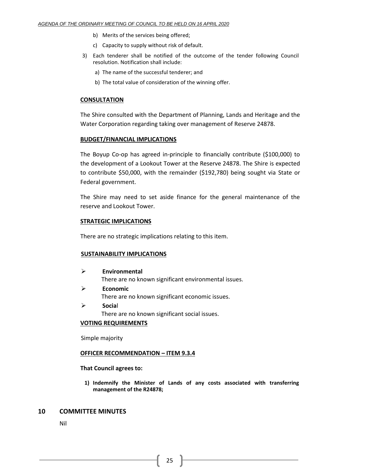- b) Merits of the services being offered;
- c) Capacity to supply without risk of default.
- 3) Each tenderer shall be notified of the outcome of the tender following Council resolution. Notification shall include:
	- a) The name of the successful tenderer; and
	- b) The total value of consideration of the winning offer.

# **CONSULTATION**

The Shire consulted with the Department of Planning, Lands and Heritage and the Water Corporation regarding taking over management of Reserve 24878.

### **BUDGET/FINANCIAL IMPLICATIONS**

The Boyup Co-op has agreed in-principle to financially contribute (\$100,000) to the development of a Lookout Tower at the Reserve 24878. The Shire is expected to contribute \$50,000, with the remainder (\$192,780) being sought via State or Federal government.

The Shire may need to set aside finance for the general maintenance of the reserve and Lookout Tower.

### **STRATEGIC IMPLICATIONS**

There are no strategic implications relating to this item.

### **SUSTAINABILITY IMPLICATIONS**

- ➢ **Environmental** There are no known significant environmental issues.
- ➢ **Economic** There are no known significant economic issues.
- ➢ **Socia**l There are no known significant social issues.

### **VOTING REQUIREMENTS**

Simple majority

### **OFFICER RECOMMENDATION – ITEM 9.3.4**

### **That Council agrees to:**

**1) Indemnify the Minister of Lands of any costs associated with transferring management of the R24878;**

# <span id="page-24-0"></span>**10 COMMITTEE MINUTES**

Nil